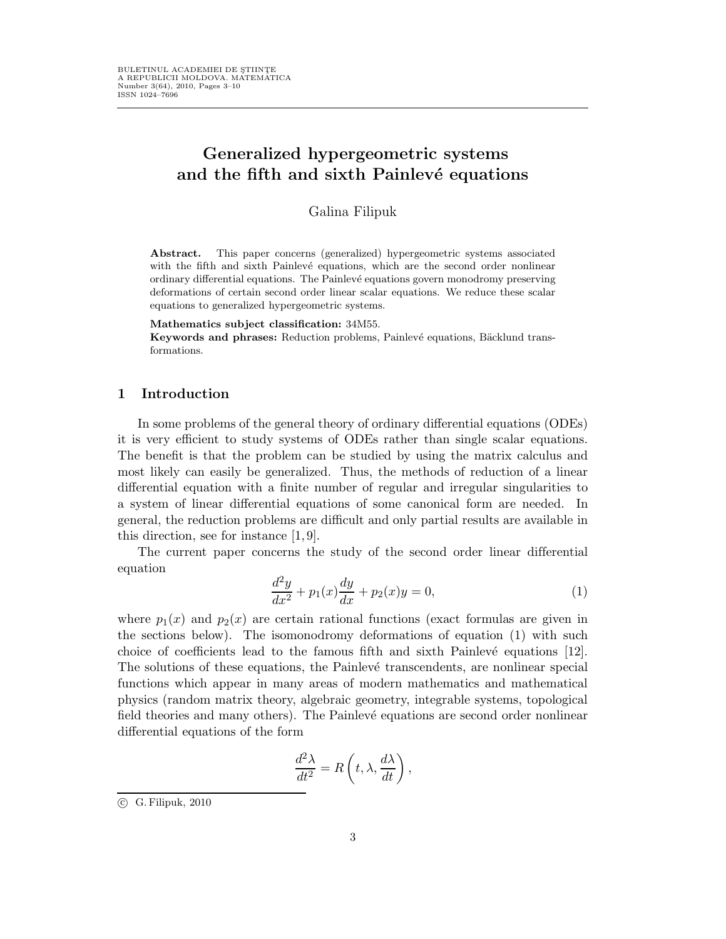# Generalized hypergeometric systems and the fifth and sixth Painlevé equations

Galina Filipuk

Abstract. This paper concerns (generalized) hypergeometric systems associated with the fifth and sixth Painlevé equations, which are the second order nonlinear ordinary differential equations. The Painlevé equations govern monodromy preserving deformations of certain second order linear scalar equations. We reduce these scalar equations to generalized hypergeometric systems.

Mathematics subject classification: 34M55.

Keywords and phrases: Reduction problems, Painlevé equations, Bäcklund transformations.

### 1 Introduction

In some problems of the general theory of ordinary differential equations (ODEs) it is very efficient to study systems of ODEs rather than single scalar equations. The benefit is that the problem can be studied by using the matrix calculus and most likely can easily be generalized. Thus, the methods of reduction of a linear differential equation with a finite number of regular and irregular singularities to a system of linear differential equations of some canonical form are needed. In general, the reduction problems are difficult and only partial results are available in this direction, see for instance [1, 9].

The current paper concerns the study of the second order linear differential equation

$$
\frac{d^2y}{dx^2} + p_1(x)\frac{dy}{dx} + p_2(x)y = 0,
$$
\n(1)

where  $p_1(x)$  and  $p_2(x)$  are certain rational functions (exact formulas are given in the sections below). The isomonodromy deformations of equation (1) with such choice of coefficients lead to the famous fifth and sixth Painlevé equations  $[12]$ . The solutions of these equations, the Painlevé transcendents, are nonlinear special functions which appear in many areas of modern mathematics and mathematical physics (random matrix theory, algebraic geometry, integrable systems, topological field theories and many others). The Painlevé equations are second order nonlinear differential equations of the form

$$
\frac{d^2\lambda}{dt^2} = R\left(t, \lambda, \frac{d\lambda}{dt}\right),\,
$$

 $\odot$  G. Filipuk, 2010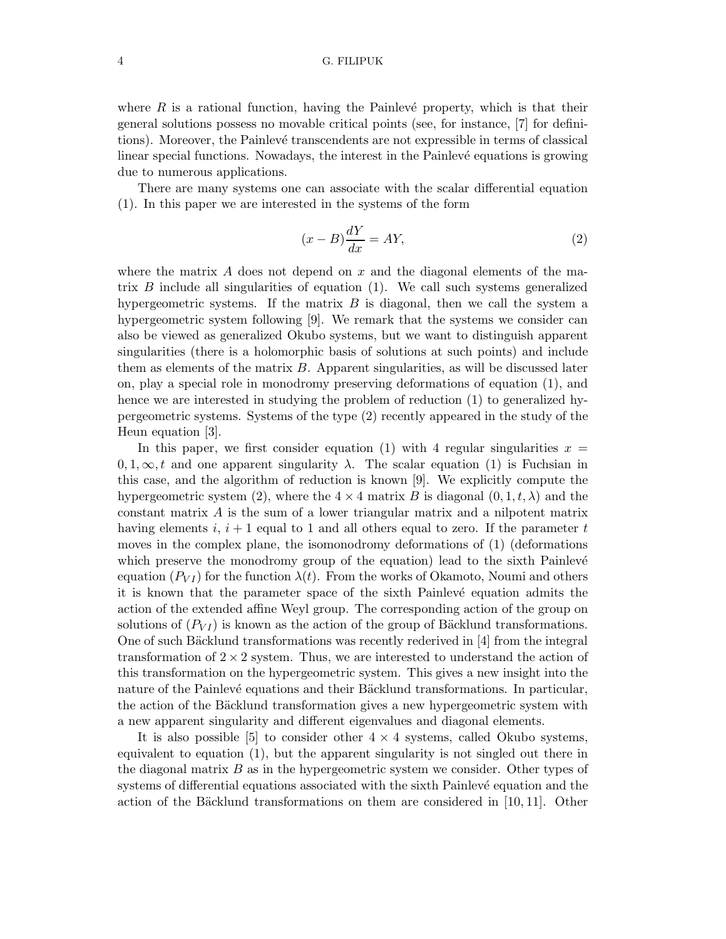#### 4 G. FILIPUK

where  $R$  is a rational function, having the Painlevé property, which is that their general solutions possess no movable critical points (see, for instance, [7] for definitions). Moreover, the Painlev´e transcendents are not expressible in terms of classical linear special functions. Nowadays, the interest in the Painlevé equations is growing due to numerous applications.

There are many systems one can associate with the scalar differential equation (1). In this paper we are interested in the systems of the form

$$
(x - B)\frac{dY}{dx} = AY,\t\t(2)
$$

where the matrix A does not depend on x and the diagonal elements of the matrix B include all singularities of equation (1). We call such systems generalized hypergeometric systems. If the matrix  $B$  is diagonal, then we call the system a hypergeometric system following [9]. We remark that the systems we consider can also be viewed as generalized Okubo systems, but we want to distinguish apparent singularities (there is a holomorphic basis of solutions at such points) and include them as elements of the matrix  $B$ . Apparent singularities, as will be discussed later on, play a special role in monodromy preserving deformations of equation (1), and hence we are interested in studying the problem of reduction (1) to generalized hypergeometric systems. Systems of the type (2) recently appeared in the study of the Heun equation [3].

In this paper, we first consider equation (1) with 4 regular singularities  $x =$  $0, 1, \infty, t$  and one apparent singularity  $\lambda$ . The scalar equation (1) is Fuchsian in this case, and the algorithm of reduction is known [9]. We explicitly compute the hypergeometric system (2), where the  $4 \times 4$  matrix B is diagonal  $(0, 1, t, \lambda)$  and the constant matrix A is the sum of a lower triangular matrix and a nilpotent matrix having elements i,  $i + 1$  equal to 1 and all others equal to zero. If the parameter t moves in the complex plane, the isomonodromy deformations of (1) (deformations which preserve the monodromy group of the equation) lead to the sixth Painlevé equation  $(P_{VI})$  for the function  $\lambda(t)$ . From the works of Okamoto, Noumi and others it is known that the parameter space of the sixth Painlevé equation admits the action of the extended affine Weyl group. The corresponding action of the group on solutions of  $(P_{VI})$  is known as the action of the group of Bäcklund transformations. One of such Bäcklund transformations was recently rederived in  $[4]$  from the integral transformation of  $2 \times 2$  system. Thus, we are interested to understand the action of this transformation on the hypergeometric system. This gives a new insight into the nature of the Painlevé equations and their Bäcklund transformations. In particular, the action of the Bäcklund transformation gives a new hypergeometric system with a new apparent singularity and different eigenvalues and diagonal elements.

It is also possible  $[5]$  to consider other  $4 \times 4$  systems, called Okubo systems, equivalent to equation (1), but the apparent singularity is not singled out there in the diagonal matrix  $B$  as in the hypergeometric system we consider. Other types of systems of differential equations associated with the sixth Painlevé equation and the action of the Bäcklund transformations on them are considered in [10, 11]. Other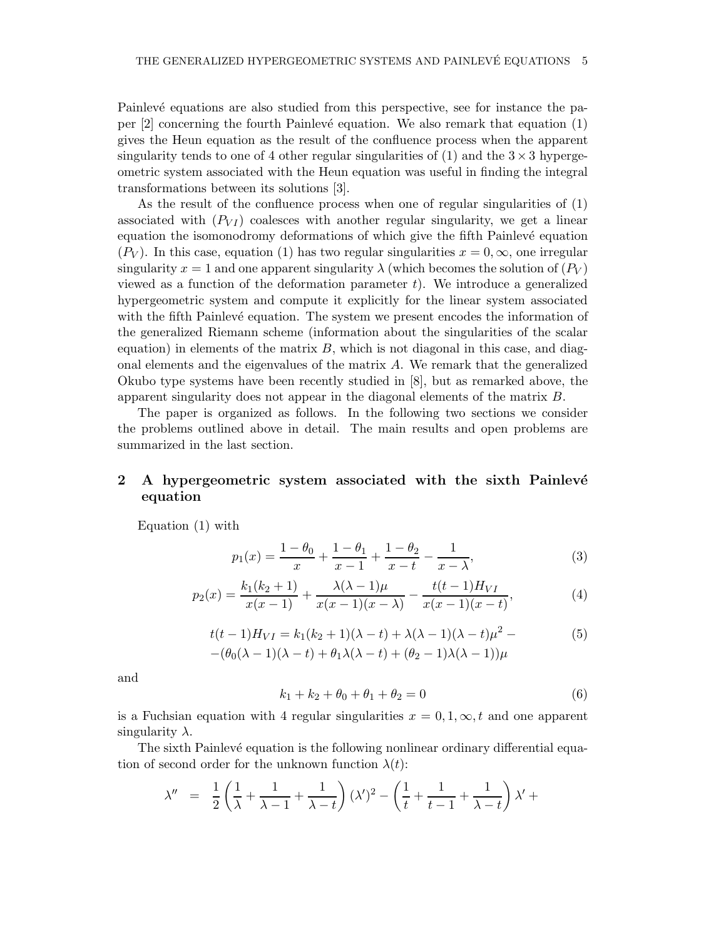Painlevé equations are also studied from this perspective, see for instance the paper  $[2]$  concerning the fourth Painlevé equation. We also remark that equation  $(1)$ gives the Heun equation as the result of the confluence process when the apparent singularity tends to one of 4 other regular singularities of (1) and the  $3 \times 3$  hypergeometric system associated with the Heun equation was useful in finding the integral transformations between its solutions [3].

As the result of the confluence process when one of regular singularities of (1) associated with  $(P_{VI})$  coalesces with another regular singularity, we get a linear equation the isomonodromy deformations of which give the fifth Painlevé equation  $(P_V)$ . In this case, equation (1) has two regular singularities  $x = 0, \infty$ , one irregular singularity  $x = 1$  and one apparent singularity  $\lambda$  (which becomes the solution of  $(P_V)$ ) viewed as a function of the deformation parameter  $t$ ). We introduce a generalized hypergeometric system and compute it explicitly for the linear system associated with the fifth Painlevé equation. The system we present encodes the information of the generalized Riemann scheme (information about the singularities of the scalar equation) in elements of the matrix  $B$ , which is not diagonal in this case, and diagonal elements and the eigenvalues of the matrix A. We remark that the generalized Okubo type systems have been recently studied in [8], but as remarked above, the apparent singularity does not appear in the diagonal elements of the matrix B.

The paper is organized as follows. In the following two sections we consider the problems outlined above in detail. The main results and open problems are summarized in the last section.

## 2 A hypergeometric system associated with the sixth Painlevé equation

Equation (1) with

$$
p_1(x) = \frac{1 - \theta_0}{x} + \frac{1 - \theta_1}{x - 1} + \frac{1 - \theta_2}{x - t} - \frac{1}{x - \lambda},
$$
\n(3)

$$
p_2(x) = \frac{k_1(k_2+1)}{x(x-1)} + \frac{\lambda(\lambda-1)\mu}{x(x-1)(x-\lambda)} - \frac{t(t-1)H_{VI}}{x(x-1)(x-t)},
$$
(4)

$$
t(t-1)H_{VI} = k_1(k_2+1)(\lambda-t) + \lambda(\lambda-1)(\lambda-t)\mu^2 -
$$
  
 
$$
-(\theta_0(\lambda-1)(\lambda-t) + \theta_1\lambda(\lambda-t) + (\theta_2-1)\lambda(\lambda-1))\mu
$$
 (5)

and

$$
k_1 + k_2 + \theta_0 + \theta_1 + \theta_2 = 0 \tag{6}
$$

is a Fuchsian equation with 4 regular singularities  $x = 0, 1, \infty, t$  and one apparent singularity  $\lambda$ .

The sixth Painlevé equation is the following nonlinear ordinary differential equation of second order for the unknown function  $\lambda(t)$ :

$$
\lambda'' = \frac{1}{2} \left( \frac{1}{\lambda} + \frac{1}{\lambda - 1} + \frac{1}{\lambda - t} \right) (\lambda')^2 - \left( \frac{1}{t} + \frac{1}{t - 1} + \frac{1}{\lambda - t} \right) \lambda' +
$$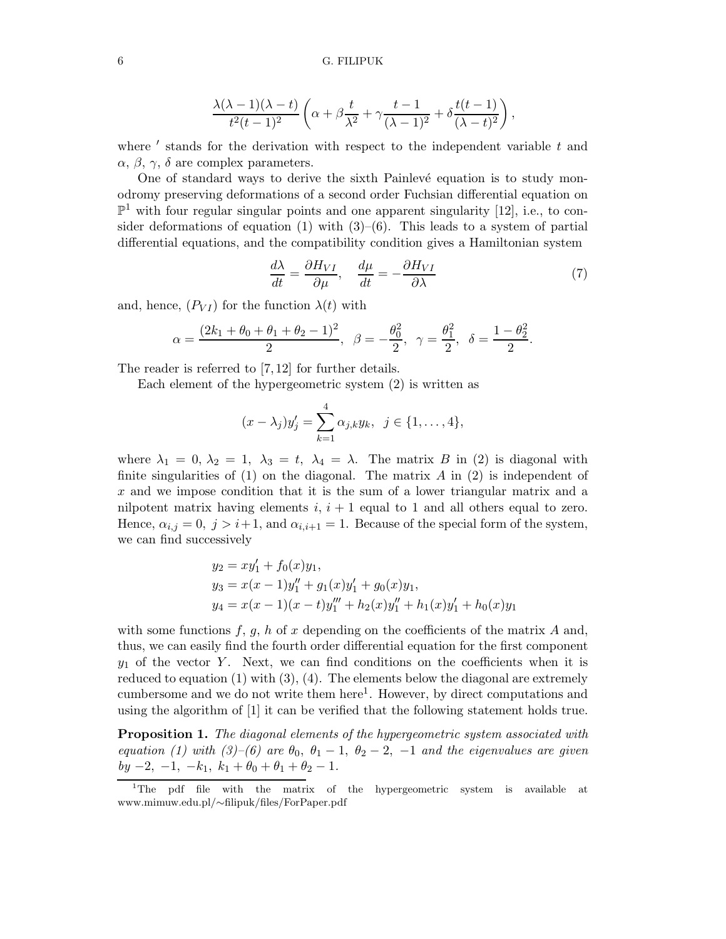$$
\frac{\lambda(\lambda-1)(\lambda-t)}{t^2(t-1)^2}\left(\alpha+\beta\frac{t}{\lambda^2}+\gamma\frac{t-1}{(\lambda-1)^2}+\delta\frac{t(t-1)}{(\lambda-t)^2}\right),\,
$$

where  $'$  stands for the derivation with respect to the independent variable  $t$  and  $\alpha$ ,  $\beta$ ,  $\gamma$ ,  $\delta$  are complex parameters.

One of standard ways to derive the sixth Painlevé equation is to study monodromy preserving deformations of a second order Fuchsian differential equation on  $\mathbb{P}^1$  with four regular singular points and one apparent singularity [12], i.e., to consider deformations of equation (1) with  $(3)$ – $(6)$ . This leads to a system of partial differential equations, and the compatibility condition gives a Hamiltonian system

$$
\frac{d\lambda}{dt} = \frac{\partial H_{VI}}{\partial \mu}, \quad \frac{d\mu}{dt} = -\frac{\partial H_{VI}}{\partial \lambda}
$$
(7)

and, hence,  $(P_{VI})$  for the function  $\lambda(t)$  with

$$
\alpha = \frac{(2k_1 + \theta_0 + \theta_1 + \theta_2 - 1)^2}{2}, \ \ \beta = -\frac{\theta_0^2}{2}, \ \ \gamma = \frac{\theta_1^2}{2}, \ \ \delta = \frac{1 - \theta_2^2}{2}.
$$

The reader is referred to [7, 12] for further details.

Each element of the hypergeometric system (2) is written as

$$
(x - \lambda_j)y'_j = \sum_{k=1}^4 \alpha_{j,k}y_k, \ \ j \in \{1, \ldots, 4\},\
$$

where  $\lambda_1 = 0, \lambda_2 = 1, \lambda_3 = t, \lambda_4 = \lambda$ . The matrix B in (2) is diagonal with finite singularities of  $(1)$  on the diagonal. The matrix A in  $(2)$  is independent of  $x$  and we impose condition that it is the sum of a lower triangular matrix and a nilpotent matrix having elements  $i, i + 1$  equal to 1 and all others equal to zero. Hence,  $\alpha_{i,j} = 0, j > i+1$ , and  $\alpha_{i,i+1} = 1$ . Because of the special form of the system, we can find successively

$$
y_2 = xy'_1 + f_0(x)y_1,
$$
  
\n
$$
y_3 = x(x - 1)y''_1 + g_1(x)y'_1 + g_0(x)y_1,
$$
  
\n
$$
y_4 = x(x - 1)(x - t)y''_1 + h_2(x)y''_1 + h_1(x)y'_1 + h_0(x)y_1.
$$

with some functions  $f, g, h$  of x depending on the coefficients of the matrix A and, thus, we can easily find the fourth order differential equation for the first component  $y_1$  of the vector Y. Next, we can find conditions on the coefficients when it is reduced to equation (1) with (3), (4). The elements below the diagonal are extremely cumbersome and we do not write them here<sup>1</sup>. However, by direct computations and using the algorithm of [1] it can be verified that the following statement holds true.

Proposition 1. The diagonal elements of the hypergeometric system associated with equation (1) with (3)–(6) are  $\theta_0$ ,  $\theta_1$  – 1,  $\theta_2$  – 2, –1 and the eigenvalues are given  $by -2, -1, -k_1, k_1 + \theta_0 + \theta_1 + \theta_2 - 1.$ 

<sup>&</sup>lt;sup>1</sup>The pdf file with the matrix of the hypergeometric system is available at www.mimuw.edu.pl/∼filipuk/files/ForPaper.pdf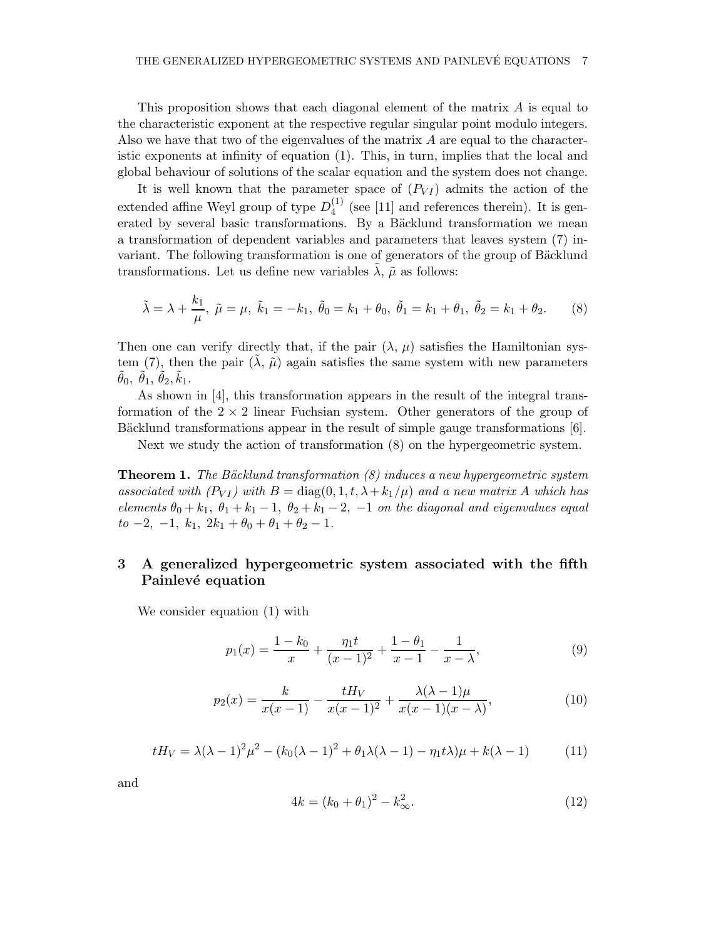This proposition shows that each diagonal element of the matrix A is equal to the characteristic exponent at the respective regular singular point modulo integers. Also we have that two of the eigenvalues of the matrix  $A$  are equal to the characteristic exponents at infinity of equation (1). This, in turn, implies that the local and global behaviour of solutions of the scalar equation and the system does not change.

It is well known that the parameter space of  $(P_{VI})$  admits the action of the extended affine Weyl group of type  $D_4^{(1)}$  $_4<sup>(1)</sup>$  (see [11] and references therein). It is generated by several basic transformations. By a Bäcklund transformation we mean a transformation of dependent variables and parameters that leaves system (7) invariant. The following transformation is one of generators of the group of Bäcklund transformations. Let us define new variables  $\lambda$ ,  $\tilde{\mu}$  as follows:

$$
\tilde{\lambda} = \lambda + \frac{k_1}{\mu}, \ \tilde{\mu} = \mu, \ \tilde{k}_1 = -k_1, \ \tilde{\theta}_0 = k_1 + \theta_0, \ \tilde{\theta}_1 = k_1 + \theta_1, \ \tilde{\theta}_2 = k_1 + \theta_2. \tag{8}
$$

Then one can verify directly that, if the pair  $(\lambda, \mu)$  satisfies the Hamiltonian system (7), then the pair  $(\lambda, \tilde{\mu})$  again satisfies the same system with new parameters  $\tilde{\theta}_0$ ,  $\tilde{\theta}_1$ ,  $\tilde{\theta}_2$ ,  $\tilde{k}_1$ .

As shown in [4], this transformation appears in the result of the integral transformation of the  $2 \times 2$  linear Fuchsian system. Other generators of the group of Bäcklund transformations appear in the result of simple gauge transformations  $[6]$ .

Next we study the action of transformation (8) on the hypergeometric system.

**Theorem 1.** The Bäcklund transformation  $(8)$  induces a new hypergeometric system associated with  $(P_{VI})$  with  $B = \text{diag}(0, 1, t, \lambda + k_1/\mu)$  and a new matrix A which has elements  $\theta_0 + k_1$ ,  $\theta_1 + k_1 - 1$ ,  $\theta_2 + k_1 - 2$ ,  $-1$  on the diagonal and eigenvalues equal  $to -2, -1, k_1, 2k_1 + \theta_0 + \theta_1 + \theta_2 - 1.$ 

### 3 A generalized hypergeometric system associated with the fifth Painlevé equation

We consider equation (1) with

$$
p_1(x) = \frac{1 - k_0}{x} + \frac{\eta_1 t}{(x - 1)^2} + \frac{1 - \theta_1}{x - 1} - \frac{1}{x - \lambda},\tag{9}
$$

$$
p_2(x) = \frac{k}{x(x-1)} - \frac{tH_V}{x(x-1)^2} + \frac{\lambda(\lambda - 1)\mu}{x(x-1)(x-\lambda)},
$$
(10)

$$
tH_V = \lambda(\lambda - 1)^2 \mu^2 - (k_0(\lambda - 1)^2 + \theta_1 \lambda(\lambda - 1) - \eta_1 t \lambda) \mu + k(\lambda - 1)
$$
 (11)

and

$$
4k = (k_0 + \theta_1)^2 - k_\infty^2.
$$
\n(12)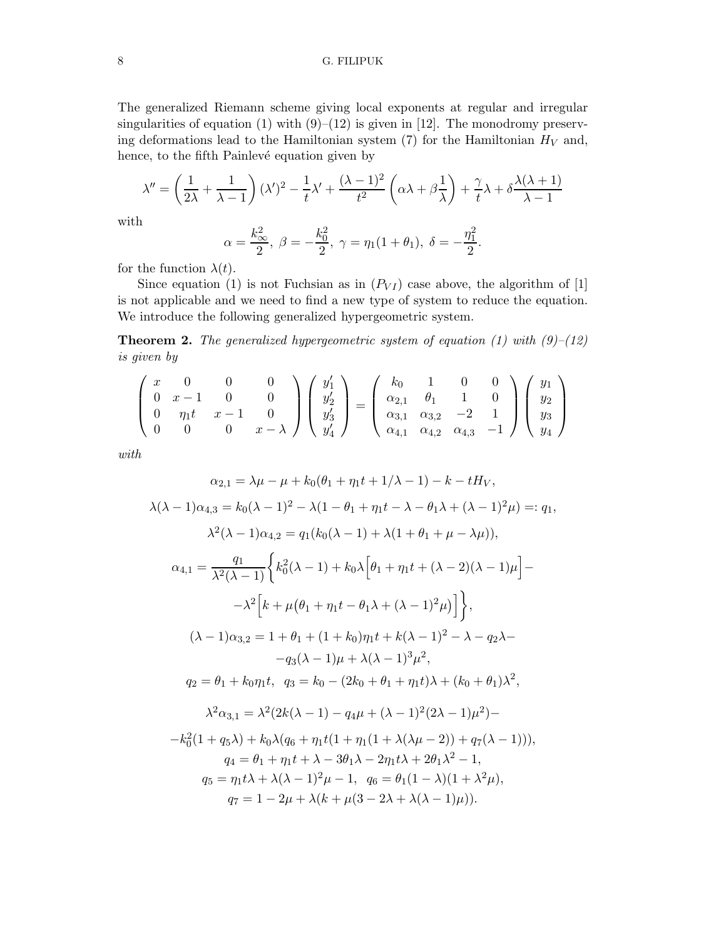### 8 G. FILIPUK

The generalized Riemann scheme giving local exponents at regular and irregular singularities of equation (1) with  $(9)$ –(12) is given in [12]. The monodromy preserving deformations lead to the Hamiltonian system  $(7)$  for the Hamiltonian  $H_V$  and, hence, to the fifth Painlevé equation given by

$$
\lambda'' = \left(\frac{1}{2\lambda} + \frac{1}{\lambda - 1}\right)(\lambda')^2 - \frac{1}{t}\lambda' + \frac{(\lambda - 1)^2}{t^2}\left(\alpha\lambda + \beta\frac{1}{\lambda}\right) + \frac{\gamma}{t}\lambda + \delta\frac{\lambda(\lambda + 1)}{\lambda - 1}
$$

with

$$
\alpha = \frac{k_{\infty}^2}{2}, \ \beta = -\frac{k_0^2}{2}, \ \gamma = \eta_1(1+\theta_1), \ \delta = -\frac{\eta_1^2}{2}.
$$

for the function  $\lambda(t)$ .

Since equation (1) is not Fuchsian as in  $(P_{VI})$  case above, the algorithm of [1] is not applicable and we need to find a new type of system to reduce the equation. We introduce the following generalized hypergeometric system.

**Theorem 2.** The generalized hypergeometric system of equation (1) with  $(9)$ – $(12)$ is given by

$$
\begin{pmatrix} x & 0 & 0 & 0 \ 0 & x-1 & 0 & 0 \ 0 & \eta_1 t & x-1 & 0 \ 0 & 0 & 0 & x-\lambda \end{pmatrix} \begin{pmatrix} y'_1 \\ y'_2 \\ y'_3 \\ y'_4 \end{pmatrix} = \begin{pmatrix} k_0 & 1 & 0 & 0 \ \alpha_{2,1} & \theta_1 & 1 & 0 \ \alpha_{3,1} & \alpha_{3,2} & -2 & 1 \ \alpha_{4,1} & \alpha_{4,2} & \alpha_{4,3} & -1 \end{pmatrix} \begin{pmatrix} y_1 \\ y_2 \\ y_3 \\ y_4 \end{pmatrix}
$$

with

$$
\alpha_{2,1} = \lambda \mu - \mu + k_0(\theta_1 + \eta_1 t + 1/\lambda - 1) - k - tH_V,
$$
  
\n
$$
\lambda(\lambda - 1)\alpha_{4,3} = k_0(\lambda - 1)^2 - \lambda(1 - \theta_1 + \eta_1 t - \lambda - \theta_1 \lambda + (\lambda - 1)^2 \mu) =: q_1,
$$
  
\n
$$
\lambda^2(\lambda - 1)\alpha_{4,2} = q_1(k_0(\lambda - 1) + \lambda(1 + \theta_1 + \mu - \lambda \mu)),
$$
  
\n
$$
\alpha_{4,1} = \frac{q_1}{\lambda^2(\lambda - 1)} \left\{ k_0^2(\lambda - 1) + k_0\lambda \left[ \theta_1 + \eta_1 t + (\lambda - 2)(\lambda - 1)\mu \right] - \right.
$$
  
\n
$$
-\lambda^2 \left[ k + \mu(\theta_1 + \eta_1 t - \theta_1 \lambda + (\lambda - 1)^2 \mu) \right] \right\},
$$
  
\n
$$
(\lambda - 1)\alpha_{3,2} = 1 + \theta_1 + (1 + k_0)\eta_1 t + k(\lambda - 1)^2 - \lambda - q_2 \lambda - \right.
$$
  
\n
$$
-q_3(\lambda - 1)\mu + \lambda(\lambda - 1)^3 \mu^2,
$$
  
\n
$$
q_2 = \theta_1 + k_0 \eta_1 t, \quad q_3 = k_0 - (2k_0 + \theta_1 + \eta_1 t)\lambda + (k_0 + \theta_1)\lambda^2,
$$
  
\n
$$
\lambda^2 \alpha_{3,1} = \lambda^2 (2k(\lambda - 1) - q_4 \mu + (\lambda - 1)^2 (2\lambda - 1) \mu^2) - \right.
$$
  
\n
$$
-k_0^2 (1 + q_5 \lambda) + k_0 \lambda (q_6 + \eta_1 t(1 + \eta_1(1 + \lambda(\lambda \mu - 2)) + q_7(\lambda - 1))),
$$
  
\n
$$
q_4 = \theta_1 + \eta_1 t + \lambda - 3\theta_1 \lambda - 2\eta_1 t \lambda + 2\theta_1 \lambda^2 - 1,
$$
  
\n
$$
q_5 = \eta_1 t \lambda + \lambda(\lambda - 1)^2 \mu - 1, \quad q_6 = \theta_1 (1 - \lambda)(1
$$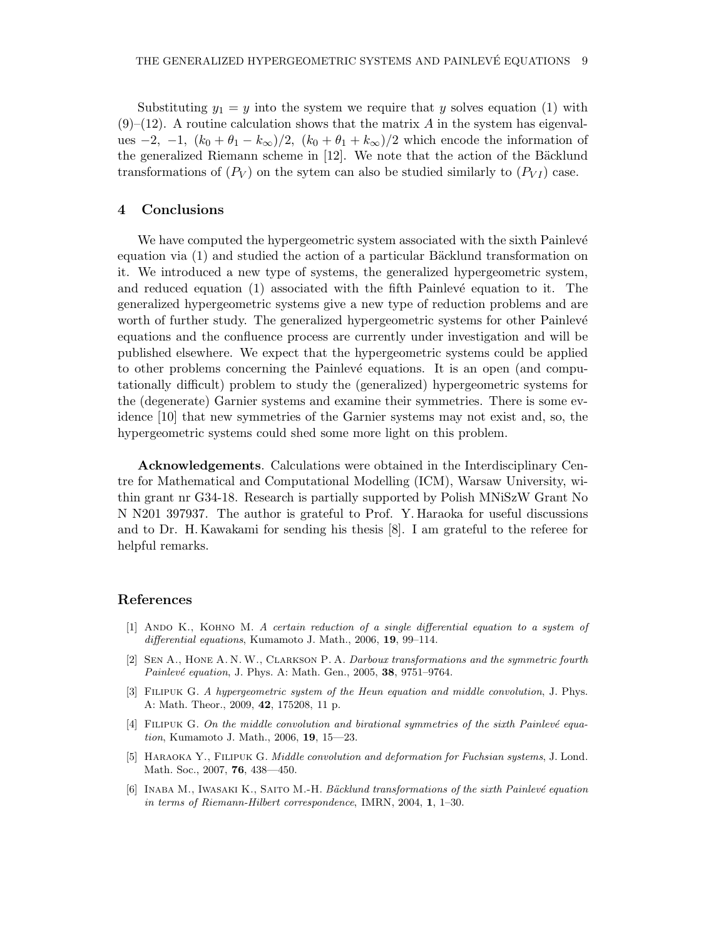Substituting  $y_1 = y$  into the system we require that y solves equation (1) with  $(9)$ – $(12)$ . A routine calculation shows that the matrix A in the system has eigenvalues  $-2$ ,  $-1$ ,  $(k_0 + \theta_1 - k_\infty)/2$ ,  $(k_0 + \theta_1 + k_\infty)/2$  which encode the information of the generalized Riemann scheme in  $[12]$ . We note that the action of the Bäcklund transformations of  $(P_V)$  on the sytem can also be studied similarly to  $(P_V)$  case.

### 4 Conclusions

We have computed the hypergeometric system associated with the sixth Painlevé equation via  $(1)$  and studied the action of a particular Bäcklund transformation on it. We introduced a new type of systems, the generalized hypergeometric system, and reduced equation  $(1)$  associated with the fifth Painlevé equation to it. The generalized hypergeometric systems give a new type of reduction problems and are worth of further study. The generalized hypergeometric systems for other Painlevé equations and the confluence process are currently under investigation and will be published elsewhere. We expect that the hypergeometric systems could be applied to other problems concerning the Painlevé equations. It is an open (and computationally difficult) problem to study the (generalized) hypergeometric systems for the (degenerate) Garnier systems and examine their symmetries. There is some evidence [10] that new symmetries of the Garnier systems may not exist and, so, the hypergeometric systems could shed some more light on this problem.

Acknowledgements. Calculations were obtained in the Interdisciplinary Centre for Mathematical and Computational Modelling (ICM), Warsaw University, within grant nr G34-18. Research is partially supported by Polish MNiSzW Grant No N N201 397937. The author is grateful to Prof. Y. Haraoka for useful discussions and to Dr. H. Kawakami for sending his thesis [8]. I am grateful to the referee for helpful remarks.

### References

- [1] Ando K., Kohno M. A certain reduction of a single differential equation to a system of differential equations, Kumamoto J. Math., 2006, 19, 99–114.
- [2] Sen A., Hone A. N. W., Clarkson P. A. Darboux transformations and the symmetric fourth Painlevé equation, J. Phys. A: Math. Gen., 2005, 38, 9751-9764.
- [3] Filipuk G. A hypergeometric system of the Heun equation and middle convolution, J. Phys. A: Math. Theor., 2009, 42, 175208, 11 p.
- $[4]$  FILIPUK G. On the middle convolution and birational symmetries of the sixth Painlevé equation, Kumamoto J. Math., 2006, 19, 15—23.
- [5] HARAOKA Y., FILIPUK G. Middle convolution and deformation for Fuchsian systems, J. Lond. Math. Soc., 2007, 76, 438—450.
- [6] INABA M., IWASAKI K., SAITO M.-H. Bäcklund transformations of the sixth Painlevé equation in terms of Riemann-Hilbert correspondence, IMRN, 2004, 1, 1–30.